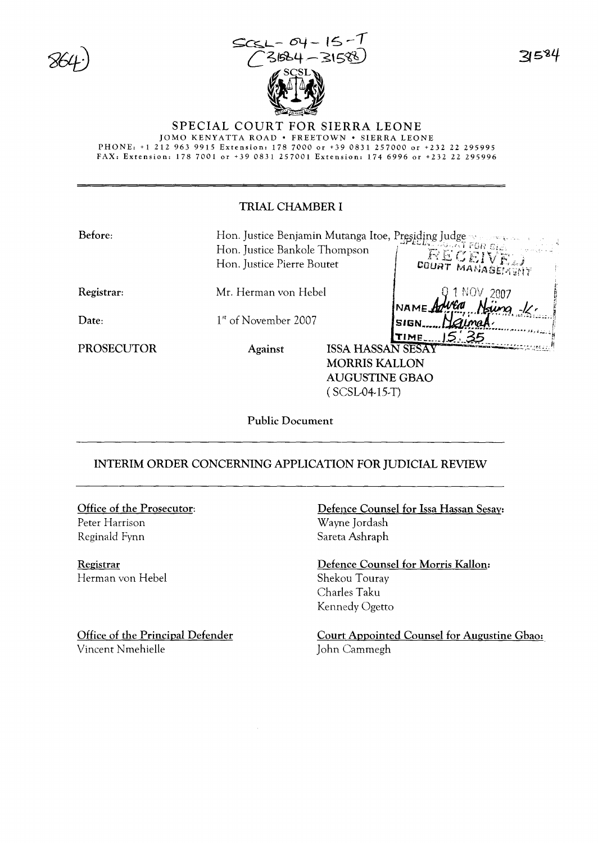



584

#### SPECIAL COURT FOR SIERRA LEONE

JOMO KENYATTA ROAD . FREETOWN . SIERRA LEONE PHONE: +1 212 963 9915 Extension: 178 7000 or +39 0831 257000 or +232 22 295995<br>FAX: Extension: 178 7001 or +39 0831 257001 Extension: 174 6996 or +232 22 295996

## **TRIAL CHAMBER I**

| Before:           |                                  |                          | Hon. Justice Benjamin Mutanga Itoe, Presiding Judge |
|-------------------|----------------------------------|--------------------------|-----------------------------------------------------|
|                   | Hon. Justice Bankole Thompson    |                          |                                                     |
|                   | Hon. Justice Pierre Boutet       |                          | RECEIVE.<br><b>COURT MANAGEMENT</b>                 |
| <b>Registrar:</b> | Mr. Herman von Hebel             |                          | 2007                                                |
|                   |                                  |                          | NAMEA                                               |
| Date:             | 1 <sup>st</sup> of November 2007 |                          | <b>SIGN</b>                                         |
|                   |                                  |                          | TIME.                                               |
| PROSECUTOR        | <b>Against</b>                   | <b>ISSA HASSAN SESAY</b> |                                                     |
|                   |                                  | <b>MORRIS KALLON</b>     |                                                     |
|                   |                                  | <b>AUGUSTINE GBAO</b>    |                                                     |
|                   |                                  | (SCSL04-15-T)            |                                                     |
|                   |                                  |                          |                                                     |

**Public Document** 

## INTERIM ORDER CONCERNING APPLICATION FOR JUDICIAL REVIEW

# Office of the Prosecutor:

Peter Harrison Reginald Fynn

Registrar Herman von Hebel

Office of the Principal Defender Vincent Nmehielle

Defence Counsel for Issa Hassan Sesay: Wayne Jordash Sareta Ashraph

Defence Counsel for Morris Kallon: Shekou Touray Charles Taku Kennedy Ogetto

Court Appointed Counsel for Augustine Gbao: John Cammegh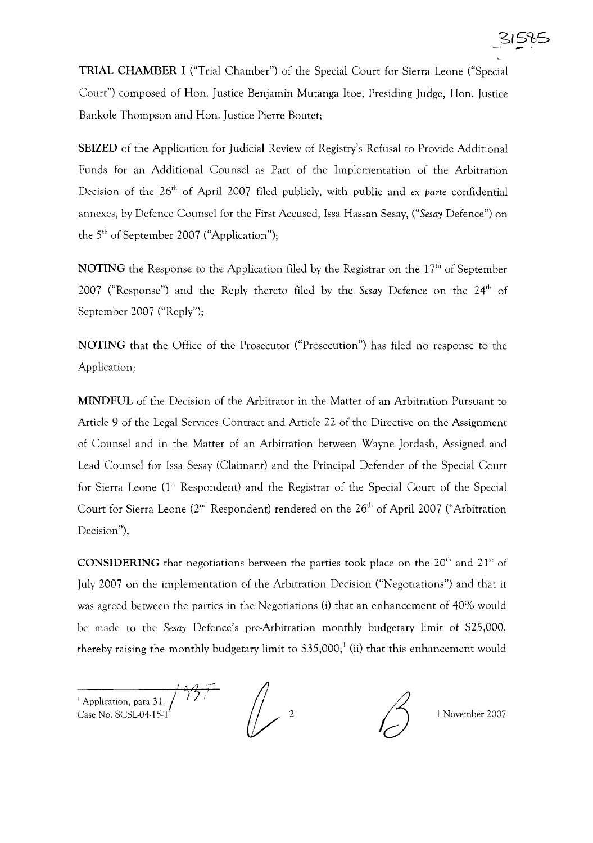TRIAL CHAMBER I ("Trial Chamber") of the Special Court for Sierra Leone ("Special Court") composed of Hon. Justice Benjamin Mutanga Itoe, Presiding Judge, Hon. Justice Bankole Thompson and Hon. Justice Pierre Boutet;

SEIZED of the Application for Judicial Review of Registry's Refusal to Provide Additional Funds for an Additional Counsel as Part of the Implementation of the Arbitration Decision of the 26<sup>th</sup> of April 2007 filed publicly, with public and *ex parte* confidential annexes, by Defence Counsel for the First Accused, Issa Hassan Sesay, *("Sesay* Defence") on the 5<sup>th</sup> of September 2007 ("Application");

NOTING the Response to the Application filed by the Registrar on the  $17<sup>th</sup>$  of September 2007 ("Response") and the Reply thereto filed by the *Sesay* Defence on the 24<sup>th</sup> of September 2007 ("Reply");

NOTING that the Office of the Prosecutor ("Prosecution") has filed no response to the Application;

MINDFUL of the Decision of the Arbitrator in the Matter of an Arbitration Pursuant to Article 9 of the Legal Services Contract and Article 22 of the Directive on the Assignment of Counsel and in the Matter of an Arbitration between Wayne Jordash, Assigned and Lead Counsel for Issa Sesay (Claimant) and the Principal Defender of the Special Court for Sierra Leone  $(1<sup>st</sup>$  Respondent) and the Registrar of the Special Court of the Special Court for Sierra Leone (2<sup>nd</sup> Respondent) rendered on the 26<sup>th</sup> of April 2007 ("Arbitration Decision");

CONSIDERING that negotiations between the parties took place on the  $20<sup>th</sup>$  and  $21<sup>st</sup>$  of July 2007 on the implementation of the Arbitration Decision ("Negotiations") and that it was agreed between the parties in the Negotiations (i) that an enhancement of 40% would be made to the *Sesay* Defence's pre-Arbitration monthly budgetary limit of \$25,000, thereby raising the monthly budgetary limit to  $$35,000$ ;<sup>1</sup> (ii) that this enhancement would

 $4,7$ <sup>1</sup> Application, para 31.<br>Case No. SCSL-04-15-T

1 November 2007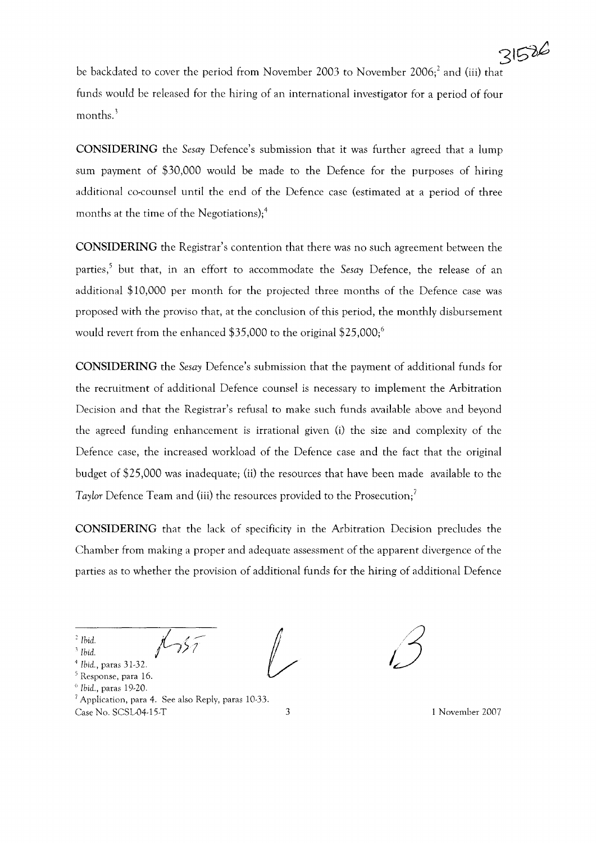be backdated to cover the period from November 2003 to November 2006;<sup>2</sup> and (iii) that funds would be released for the hiring of an international investigator for a period of four months.<sup>3</sup>

**CONSIDERING** the *Sesay* Defence's submission that it was further agreed that a lump sum payment of \$30,000 would be made to the Defence for the purposes of hiring additional co-counsel until the end of the Defence case (estimated at a period of three months at the time of the Negotiations);<sup>4</sup>

**CONSIDERING** the Registrar's contention that there was no such agreement between the parties,<sup>5</sup> but that, in an effort to accommodate the *Sesa*y Defence, the release of an additional \$10,000 per month for the projected three months of the Defence case was proposed with the proviso that, at the conclusion of this period, the monthly disbursement would revert from the enhanced  $$35,000$  to the original  $$25,000$ ;<sup>6</sup>

**CONSIDERING** the *Sesay* Defence's submission that the payment of additional funds for the recruitment of additional Defence counsel is necessary to implement the Arbitration Decision and that the Registrar's refusal to make such funds available above and beyond the agreed funding enhancement is irrational given (i) the size and complexity of the Defence case, the increased workload of the Defence case and the fact that the original budget of \$25,000 was inadequate; (ii) the resources that have been made available to the *Taylor* Defence Team and (iii) the resources provided to the Prosecution;?

**CONSIDERING** that the lack of specificity in the Arbitration Decision precludes the Chamber from making a proper and adequate assessment of the apparent divergence of the parties as to whether the provision of additional funds for the hiring of additional Defence

*, Ibid.*

<sup>1</sup> *Ibid.*

<sup>4</sup> *Ibid.,* paras 31-32.

<sup>5</sup> Response, para 16.

- <sup>o</sup> *Ibid.,* paras 19-20.
- 

 $^7$  Application, para 4. See also Reply, paras 10-33. Case No. SCSL-G4-15-T 3 1 November 2007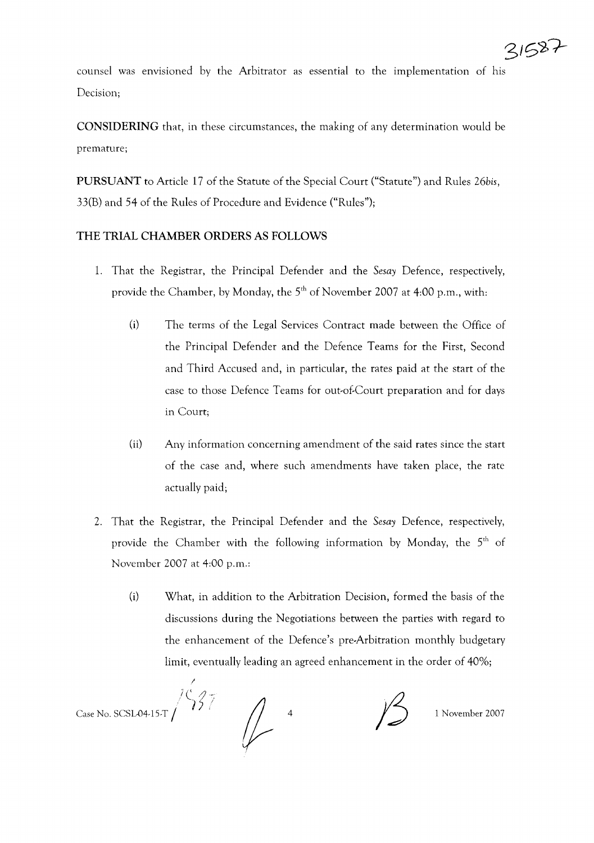counsel was envisioned by the Arbitrator as essential to the implementation of his Decision;

**CONSIDERING** that, in these circumstances, the making of any determination would be premature;

**PURSUANT** to Article 17 of the Statute of the Special Court ("Statute") and Rules 26bis, 33(B) and 54 of the Rules of Procedure and Evidence ("Rules");

#### **THE TRIAL CHAMBER ORDERS AS FOLLOWS**

- 1. That the Registrar, the Principal Defender and the *Sesay* Defence, respectively, provide the Chamber, by Monday, the 5<sup>th</sup> of November 2007 at 4:00 p.m., with:
	- (i) The terms of the Legal Services Contract made between the Office of the Principal Defender and the Defence Teams for the First, Second and Third Accused and, in particular, the rates paid at the start of the case to those Defence Teams for out-of-Court preparation and for days in Court;
	- (ii) Any information concerning amendment of the said rates since the start of the case and, where such amendments have taken place, the rate actually paid;
- 2. That the Registrar, the Principal Defender and the *Sesay* Defence, respectively, provide the Chamber with the following information by Monday, the  $5<sup>th</sup>$  of November 2007 at 4:00 p.m.:
	- (i) What, in addition to the Arbitration Decision, formed the basis of the discussions during the Negotiations between the parties with regard to the enhancement of the Defence's pre-Arbitration monthly budgetary limit, eventually leading an agreed enhancement in the order of 40%;

I  $/$  $\zeta$ 27 Case No. SCSL04-15-T  $\begin{pmatrix} 1 & 1 & 1 & 1 \end{pmatrix}$  1  $\begin{pmatrix} 1 & 1 & 1 \end{pmatrix}$  1 November 2007

31587